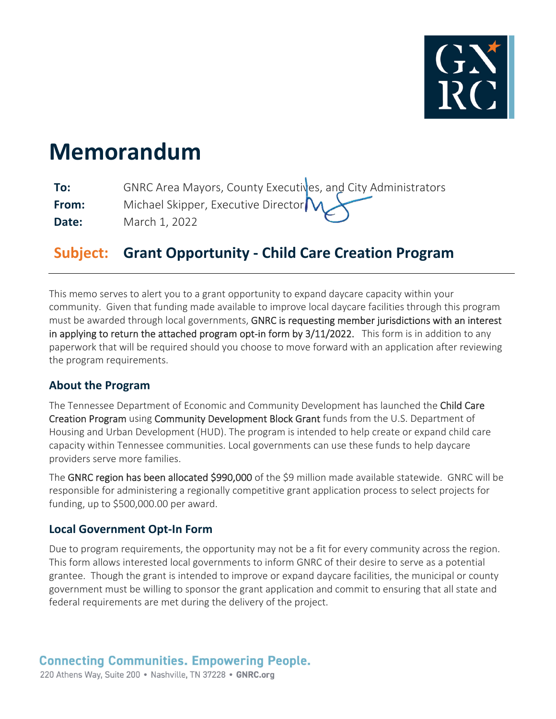

# **Memorandum**

| To:   | GNRC Area Mayors, County Executives, and City Administrators |
|-------|--------------------------------------------------------------|
| From: | Michael Skipper, Executive Director                          |
| Date: | March 1, 2022                                                |

## **Subject: Grant Opportunity ‐ Child Care Creation Program**

This memo serves to alert you to a grant opportunity to expand daycare capacity within your community. Given that funding made available to improve local daycare facilities through this program must be awarded through local governments, GNRC is requesting member jurisdictions with an interest in applying to return the attached program opt-in form by 3/11/2022. This form is in addition to any paperwork that will be required should you choose to move forward with an application after reviewing the program requirements.

#### **About the Program**

The Tennessee Department of Economic and Community Development has launched the Child Care Creation Program using Community Development Block Grant funds from the U.S. Department of Housing and Urban Development (HUD). The program is intended to help create or expand child care capacity within Tennessee communities. Local governments can use these funds to help daycare providers serve more families.

The GNRC region has been allocated \$990,000 of the \$9 million made available statewide. GNRC will be responsible for administering a regionally competitive grant application process to select projects for funding, up to \$500,000.00 per award.

#### **Local Government Opt‐In Form**

Due to program requirements, the opportunity may not be a fit for every community across the region. This form allows interested local governments to inform GNRC of their desire to serve as a potential grantee. Though the grant is intended to improve or expand daycare facilities, the municipal or county government must be willing to sponsor the grant application and commit to ensuring that all state and federal requirements are met during the delivery of the project.

#### **Connecting Communities. Empowering People.**

220 Athens Way, Suite 200 · Nashville, TN 37228 · GNRC.org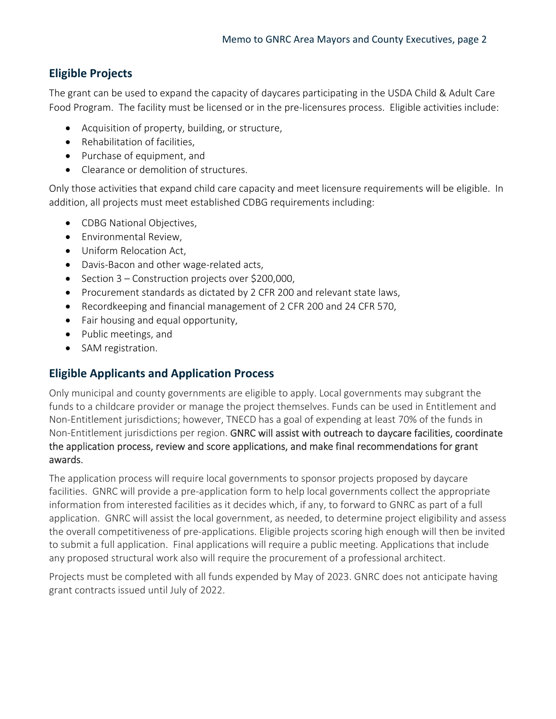### **Eligible Projects**

The grant can be used to expand the capacity of daycares participating in the USDA Child & Adult Care Food Program. The facility must be licensed or in the pre‐licensures process. Eligible activities include:

- Acquisition of property, building, or structure,
- Rehabilitation of facilities,
- Purchase of equipment, and
- Clearance or demolition of structures.

Only those activities that expand child care capacity and meet licensure requirements will be eligible. In addition, all projects must meet established CDBG requirements including:

- CDBG National Objectives,
- Environmental Review,
- Uniform Relocation Act,
- Davis-Bacon and other wage-related acts,
- $\bullet$  Section 3 Construction projects over \$200,000,
- Procurement standards as dictated by 2 CFR 200 and relevant state laws,
- Recordkeeping and financial management of 2 CFR 200 and 24 CFR 570,
- Fair housing and equal opportunity,
- Public meetings, and
- SAM registration.

#### **Eligible Applicants and Application Process**

Only municipal and county governments are eligible to apply. Local governments may subgrant the funds to a childcare provider or manage the project themselves. Funds can be used in Entitlement and Non-Entitlement jurisdictions; however, TNECD has a goal of expending at least 70% of the funds in Non-Entitlement jurisdictions per region. GNRC will assist with outreach to daycare facilities, coordinate the application process, review and score applications, and make final recommendations for grant awards.

The application process will require local governments to sponsor projects proposed by daycare facilities. GNRC will provide a pre‐application form to help local governments collect the appropriate information from interested facilities as it decides which, if any, to forward to GNRC as part of a full application. GNRC will assist the local government, as needed, to determine project eligibility and assess the overall competitiveness of pre‐applications. Eligible projects scoring high enough will then be invited to submit a full application. Final applications will require a public meeting. Applications that include any proposed structural work also will require the procurement of a professional architect.

Projects must be completed with all funds expended by May of 2023. GNRC does not anticipate having grant contracts issued until July of 2022.